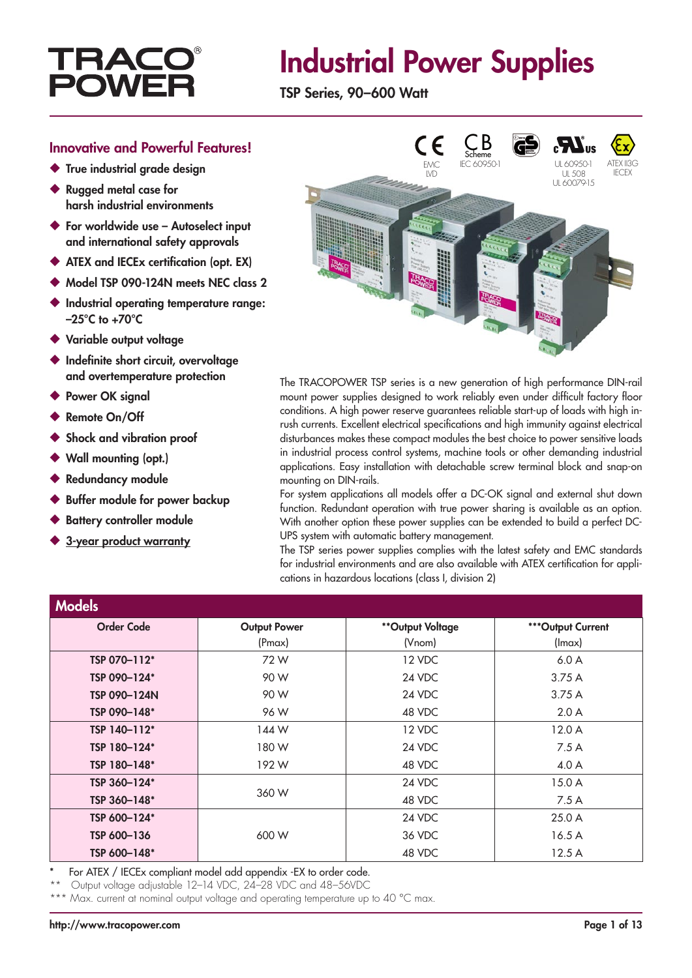## **TRAC POV**

## Industrial Power Supplies

TSP Series, 90–600 Watt

#### Innovative and Powerful Features!

- ◆ True industrial grade design
- ◆ Rugged metal case for harsh industrial environments
- ◆ For worldwide use Autoselect input and international safety approvals
- ◆ ATEX and IECEx certification (opt. EX)
- ◆ Model TSP 090-124N meets NEC class 2
- ◆ Industrial operatina temperature range:  $-25^{\circ}$ C to  $+70^{\circ}$ C
- ◆ Variable output voltage
- ◆ Indefinite short circuit, overvoltage and overtemperature protection
- ◆ Power OK signal
- **Remote On/Off**
- ◆ Shock and vibration proof
- Wall mounting (opt.)
- **Redundancy module**
- Buffer module for power backup
- **Battery controller module**
- 3-year product warranty



The TRACOPOWER TSP series is a new generation of high performance DIN-rail mount power supplies designed to work reliably even under difficult factory floor conditions. A high power reserve guarantees reliable start-up of loads with high inrush currents. Excellent electrical specifications and high immunity against electrical disturbances makes these compact modules the best choice to power sensitive loads in industrial process control systems, machine tools or other demanding industrial applications. Easy installation with detachable screw terminal block and snap-on mounting on DIN-rails.

For system applications all models offer a DC-OK signal and external shut down function. Redundant operation with true power sharing is available as an option. With another option these power supplies can be extended to build a perfect DC-UPS system with automatic battery management.

The TSP series power supplies complies with the latest safety and EMC standards for industrial environments and are also available with ATEX certification for applications in hazardous locations (class I, division 2)

| <b>Models</b>     |                     |                  |                    |
|-------------------|---------------------|------------------|--------------------|
| <b>Order Code</b> | <b>Output Power</b> | **Output Voltage | *** Output Current |
|                   | (Pmax)              | (Vnom)           | (lmax)             |
| TSP 070-112*      | 72W                 | 12 VDC           | 6.0A               |
| TSP 090-124*      | 90 W                | 24 VDC           | 3.75A              |
| TSP 090-124N      | 90 W                | 24 VDC           | 3.75A              |
| TSP 090-148*      | 96 W                | 48 VDC           | 2.0A               |
| TSP 140-112*      | 144 W               | 12 VDC           | 12.0A              |
| TSP 180-124*      | 180 W               | 24 VDC           | 7.5A               |
| TSP 180-148*      | 192 W               | 48 VDC           | 4.0 A              |
| TSP 360-124*      |                     | 24 VDC           | 15.0A              |
| TSP 360-148*      | 360 W               | 48 VDC           | 7.5A               |
| TSP 600-124*      |                     | 24 VDC           | 25.0A              |
| TSP 600-136       | 600 W               | 36 VDC           | 16.5A              |
| TSP 600-148*      |                     | 48 VDC           | 12.5A              |

For ATEX / IECEx compliant model add appendix -EX to order code.

Output voltage adjustable 12–14 VDC, 24–28 VDC and 48–56VDC

\*\*\* Max. current at nominal output voltage and operating temperature up to 40 °C max.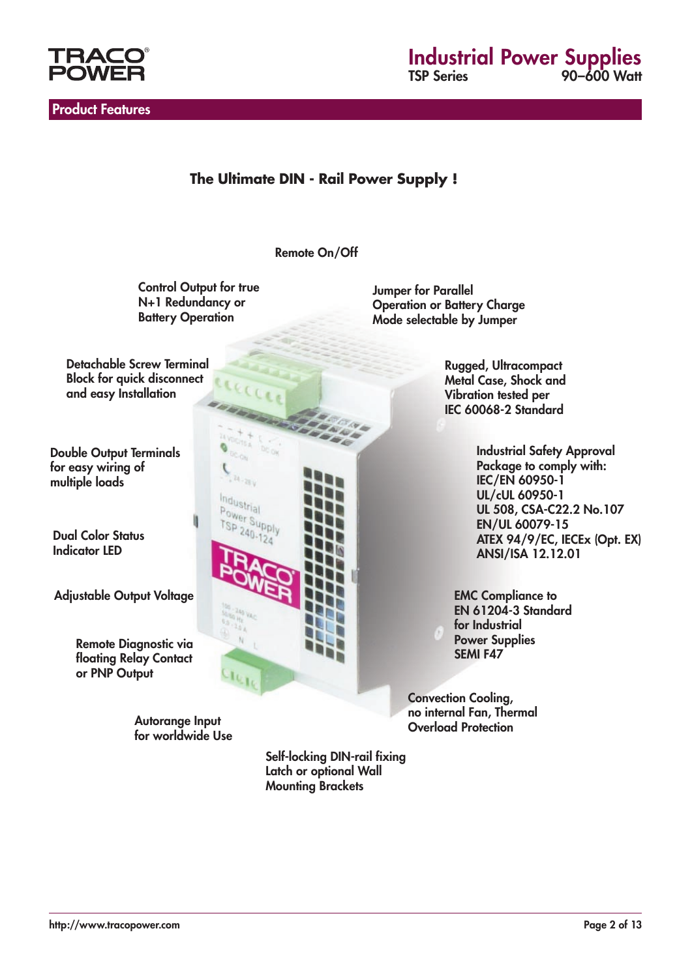

Product Features

## **Industrial Power Supplies**<br>
SP Series
20-600 Watt 90–600 Watt

### **The Ultimate DIN - Rail Power Supply !**

Remote On/Off

**Control Output for true** N+1 Redundancy or **Battery Operation** 

 $u_{28y}$ 

Industrial Power Supply<br>TSP 240-13-V  $240.$ 

Jumper for Parallel Operation or Battery Charge Mode selectable by Jumper

Detachable Screw Terminal Block for quick disconnect and easy Installation

Double Output Terminals for easy wiring of multiple loads

Dual Color Status Indicator LED

Adjustable Output Voltage

Remote Diagnostic via floating Relay Contact or PNP Output

> Autorange Input for worldwide Use

Rugged, Ultracompact Metal Case, Shock and Vibration tested per IEC 60068-2 Standard

> Industrial Safety Approval Package to comply with: IEC/EN 60950-1 UL/cUL 60950-1 UL 508, CSA-C22.2 No.107 EN/UL 60079-15 ATEX 94/9/EC, IECEx (Opt. EX) ANSI/ISA 12.12.01

EMC Compliance to EN 61204-3 Standard for Industrial Power Supplies SEMI F47

Convection Cooling, no internal Fan, Thermal Overload Protection

Self-locking DIN-rail fixing Latch or optional Wall Mounting Brackets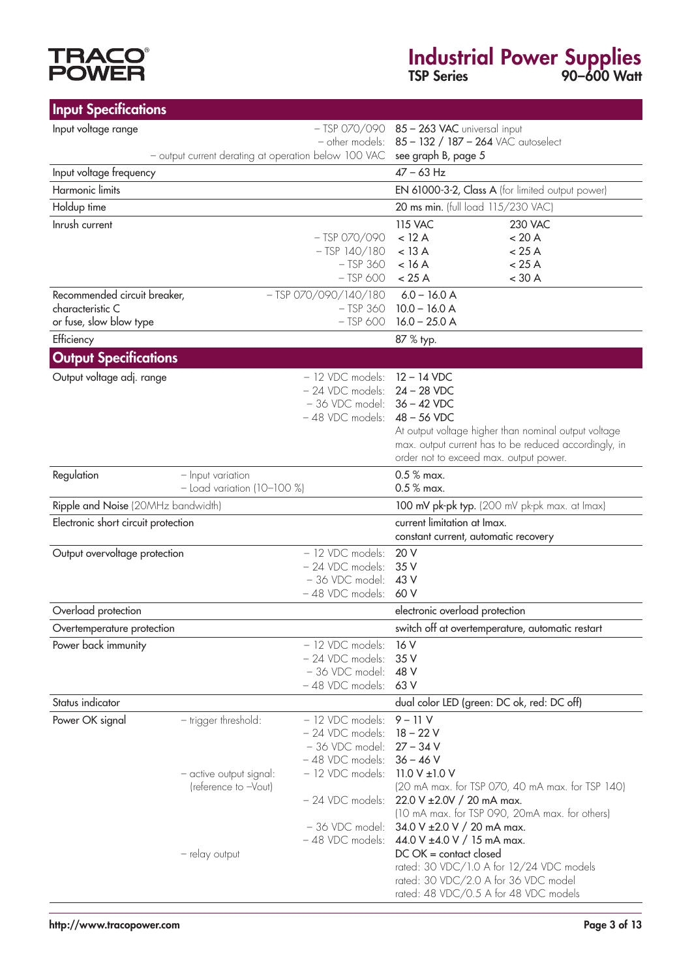# **TRACO®**<br>POWER

## Industrial Power Supplies TSP Series 90–600 Watt

| <b>Input Specifications</b>                      |                                                      |                                        |                                                                                                               |  |
|--------------------------------------------------|------------------------------------------------------|----------------------------------------|---------------------------------------------------------------------------------------------------------------|--|
| Input voltage range                              |                                                      |                                        | - TSP 070/090 85 - 263 VAC universal input                                                                    |  |
|                                                  |                                                      | - other models:                        | 85 - 132 / 187 - 264 VAC autoselect                                                                           |  |
| Input voltage frequency                          | - output current derating at operation below 100 VAC |                                        | see graph B, page 5<br>$47 - 63$ Hz                                                                           |  |
| Harmonic limits                                  |                                                      |                                        | EN 61000-3-2, Class A (for limited output power)                                                              |  |
|                                                  |                                                      |                                        | 20 ms min. (full load 115/230 VAC)                                                                            |  |
| Holdup time<br>Inrush current                    |                                                      |                                        | <b>115 VAC</b><br><b>230 VAC</b>                                                                              |  |
|                                                  |                                                      | $-$ TSP 070/090                        | $<$ 12 A<br>< 20 A                                                                                            |  |
|                                                  |                                                      | $-$ TSP $140/180$                      | $<$ 13 A<br>< 25 A                                                                                            |  |
|                                                  |                                                      | $-$ TSP 360                            | < 25 A<br>$<$ 16 A                                                                                            |  |
|                                                  |                                                      | $-$ TSP 600                            | $<$ 30 A<br>< 25 A                                                                                            |  |
| Recommended circuit breaker,<br>characteristic C |                                                      | $-$ TSP 070/090/140/180<br>$-$ TSP 360 | $6.0 - 16.0 A$<br>$10.0 - 16.0 A$                                                                             |  |
| or fuse, slow blow type                          |                                                      | $-$ TSP 600                            | $16.0 - 25.0 A$                                                                                               |  |
| Efficiency                                       |                                                      |                                        | 87 % typ.                                                                                                     |  |
| <b>Output Specifications</b>                     |                                                      |                                        |                                                                                                               |  |
| Output voltage adj. range                        |                                                      | - 12 VDC models:                       | $12 - 14$ VDC                                                                                                 |  |
|                                                  |                                                      | $-24$ VDC models: $24 - 28$ VDC        |                                                                                                               |  |
|                                                  |                                                      | - 36 VDC model: 36 - 42 VDC            |                                                                                                               |  |
|                                                  |                                                      | $-48$ VDC models: $48 - 56$ VDC        |                                                                                                               |  |
|                                                  |                                                      |                                        | At output voltage higher than nominal output voltage<br>max. output current has to be reduced accordingly, in |  |
|                                                  |                                                      |                                        | order not to exceed max. output power.                                                                        |  |
| Regulation                                       | - Input variation                                    |                                        | $0.5\%$ max.                                                                                                  |  |
|                                                  | $-$ Load variation (10-100 %)                        |                                        | $0.5\%$ max.                                                                                                  |  |
| Ripple and Noise (20MHz bandwidth)               |                                                      |                                        | 100 mV pk-pk typ. (200 mV pk-pk max. at Imax)                                                                 |  |
| Electronic short circuit protection              |                                                      |                                        | current limitation at Imax.<br>constant current, automatic recovery                                           |  |
| Output overvoltage protection                    |                                                      | - 12 VDC models:                       | 20 V                                                                                                          |  |
|                                                  |                                                      | - 24 VDC models:                       | 35 V                                                                                                          |  |
|                                                  |                                                      | - 36 VDC model:<br>- 48 VDC models:    | 43 V<br>60 V                                                                                                  |  |
| Overload protection                              |                                                      |                                        | electronic overload protection                                                                                |  |
| Overtemperature protection                       |                                                      |                                        | switch off at overtemperature, automatic restart                                                              |  |
| Power back immunity                              |                                                      | - 12 VDC models:                       | 16 V                                                                                                          |  |
|                                                  |                                                      | - 24 VDC models:                       | 35 V                                                                                                          |  |
|                                                  |                                                      | - 36 VDC model:                        | 48 V                                                                                                          |  |
|                                                  |                                                      | - 48 VDC models:                       | 63 V                                                                                                          |  |
| Status indicator<br>Power OK signal              |                                                      | - 12 VDC models:                       | dual color LED (green: DC ok, red: DC off)                                                                    |  |
|                                                  | - trigger threshold:                                 | - 24 VDC models:                       | 9 – 11 V<br>$18 - 22V$                                                                                        |  |
|                                                  |                                                      | - 36 VDC model:                        | $27 - 34V$                                                                                                    |  |
|                                                  |                                                      | - 48 VDC models:                       | $36 - 46$ V                                                                                                   |  |
|                                                  | - active output signal:                              | - 12 VDC models:                       | 11.0 V $\pm$ 1.0 V                                                                                            |  |
|                                                  | (reference to -Vout)                                 | - 24 VDC models:                       | (20 mA max. for TSP 070, 40 mA max. for TSP 140)<br>22.0 V $\pm$ 2.0V / 20 mA max.                            |  |
|                                                  |                                                      |                                        | (10 mA max. for TSP 090, 20mA max. for others)                                                                |  |
|                                                  |                                                      | - 36 VDC model:                        | 34.0 V ± 2.0 V / 20 mA max.                                                                                   |  |
|                                                  |                                                      | -48 VDC models:                        | 44.0 V ±4.0 V / 15 mA max.                                                                                    |  |
|                                                  | - relay output                                       |                                        | $DC$ $OK =$ contact closed<br>rated: 30 VDC/1.0 A for 12/24 VDC models                                        |  |
|                                                  |                                                      |                                        | rated: 30 VDC/2.0 A for 36 VDC model                                                                          |  |
|                                                  |                                                      |                                        | rated: 48 VDC/0.5 A for 48 VDC models                                                                         |  |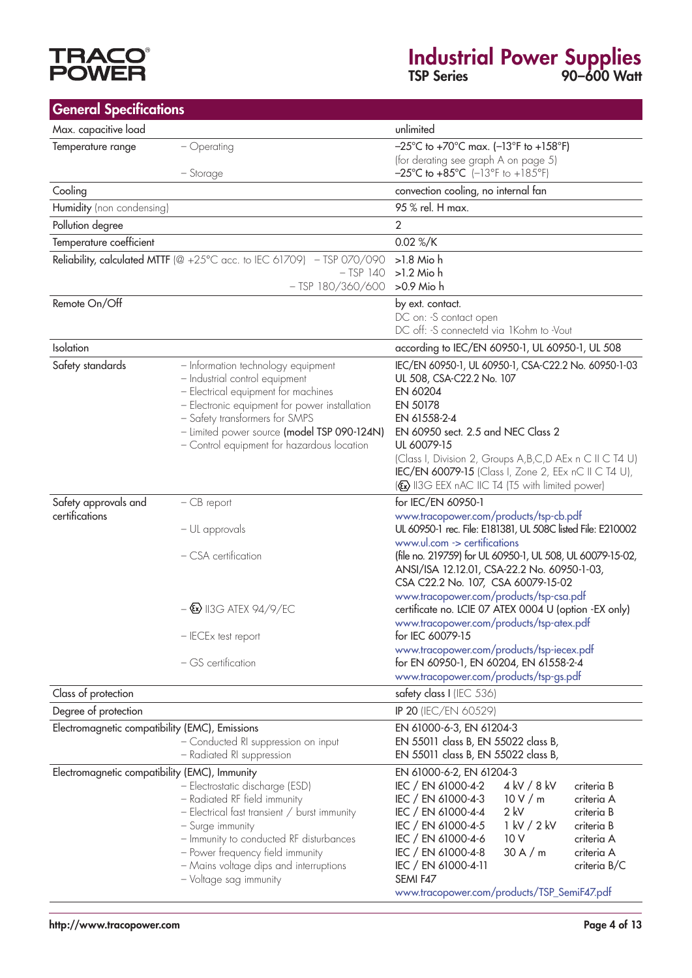# **TRACO<sup>®</sup>**<br>POWER

## Industrial Power Supplies TSP Series 90–600 Watt

| <b>General Specifications</b>                  |                                                                                                 |                                                                                             |
|------------------------------------------------|-------------------------------------------------------------------------------------------------|---------------------------------------------------------------------------------------------|
| Max. capacitive load                           |                                                                                                 | unlimited                                                                                   |
| Temperature range                              | - Operating                                                                                     | $-25^{\circ}$ C to +70 $^{\circ}$ C max. (-13 $^{\circ}$ F to +158 $^{\circ}$ F)            |
|                                                |                                                                                                 | (for derating see graph A on page 5)                                                        |
|                                                | - Storage                                                                                       | $-25^{\circ}$ C to $+85^{\circ}$ C (-13°F to $+185^{\circ}$ F)                              |
| Cooling                                        |                                                                                                 | convection cooling, no internal fan                                                         |
| Humidity (non condensing)                      |                                                                                                 | 95 % rel. H max.                                                                            |
| Pollution degree                               |                                                                                                 | $\overline{2}$                                                                              |
| Temperature coefficient                        |                                                                                                 | 0.02 %/K                                                                                    |
|                                                | Reliability, calculated MTTF ( $@ +25^{\circ}C$ acc. to IEC 61709) - TSP 070/090<br>$-$ TSP 140 | $>1.8$ Mio h<br>$>1.2$ Mio h                                                                |
|                                                | $-$ TSP 180/360/600                                                                             | >0.9 Mio h                                                                                  |
| Remote On/Off                                  |                                                                                                 | by ext. contact.                                                                            |
|                                                |                                                                                                 | DC on: -S contact open                                                                      |
|                                                |                                                                                                 | DC off: -S connectetd via 1Kohm to -Vout                                                    |
| Isolation                                      |                                                                                                 | according to IEC/EN 60950-1, UL 60950-1, UL 508                                             |
| Safety standards                               | - Information technology equipment                                                              | IEC/EN 60950-1, UL 60950-1, CSA-C22.2 No. 60950-1-03<br>UL 508, CSA-C22.2 No. 107           |
|                                                | - Industrial control equipment<br>- Electrical equipment for machines                           | EN 60204                                                                                    |
|                                                | - Electronic equipment for power installation                                                   | EN 50178                                                                                    |
|                                                | - Safety transformers for SMPS                                                                  | EN 61558-2-4                                                                                |
|                                                | - Limited power source (model TSP 090-124N)                                                     | EN 60950 sect. 2.5 and NEC Class 2                                                          |
|                                                | - Control equipment for hazardous location                                                      | UL 60079-15<br>(Class I, Division 2, Groups A, B, C, D A Ex n C II C T4 U)                  |
|                                                |                                                                                                 | <b>IEC/EN 60079-15</b> (Class I, Zone 2, EEx nC II C T4 U),                                 |
|                                                |                                                                                                 | ( <a> II3G EEX nAC IIC T4 (T5 with limited power)</a>                                       |
| Safety approvals and                           | $-CB$ report                                                                                    | for IEC/EN 60950-1                                                                          |
| certifications                                 |                                                                                                 | www.tracopower.com/products/tsp-cb.pdf                                                      |
|                                                | – UL approvals                                                                                  | UL 60950-1 rec. File: E181381, UL 508C listed File: E210002<br>www.ul.com -> certifications |
|                                                | - CSA certification                                                                             | (file no. 219759) for UL 60950-1, UL 508, UL 60079-15-02,                                   |
|                                                |                                                                                                 | ANSI/ISA 12.12.01, CSA-22.2 No. 60950-1-03,                                                 |
|                                                |                                                                                                 | CSA C22.2 No. 107, CSA 60079-15-02<br>www.tracopower.com/products/tsp-csa.pdf               |
|                                                | $-\times$ 113G ATEX 94/9/EC                                                                     | certificate no. LCIE 07 ATEX 0004 U (option -EX only)                                       |
|                                                |                                                                                                 | www.tracopower.com/products/tsp-atex.pdf                                                    |
|                                                | - IECEx test report                                                                             | for IEC 60079-15                                                                            |
|                                                | - GS certification                                                                              | www.tracopower.com/products/tsp-iecex.pdf<br>for EN 60950-1, EN 60204, EN 61558-2-4         |
|                                                |                                                                                                 | www.tracopower.com/products/tsp-gs.pdf                                                      |
| Class of protection                            |                                                                                                 | safety class I (IEC 536)                                                                    |
| Degree of protection                           |                                                                                                 | IP 20 (IEC/EN 60529)                                                                        |
| Electromagnetic compatibility (EMC), Emissions |                                                                                                 | EN 61000-6-3, EN 61204-3                                                                    |
|                                                | - Conducted RI suppression on input                                                             | EN 55011 class B, EN 55022 class B,                                                         |
|                                                | - Radiated RI suppression                                                                       | EN 55011 class B, EN 55022 class B,                                                         |
| Electromagnetic compatibility (EMC), Immunity  |                                                                                                 | EN 61000-6-2, EN 61204-3<br>4 kV / 8 kV<br>IEC / EN 61000-4-2<br>criteria B                 |
|                                                | - Electrostatic discharge (ESD)<br>- Radiated RF field immunity                                 | IEC / EN 61000-4-3<br>10 V/m<br>criteria A                                                  |
|                                                | - Electrical fast transient / burst immunity                                                    | $2$ kV<br>IEC / EN 61000-4-4<br>criteria B                                                  |
|                                                | - Surge immunity                                                                                | 1 kV / 2 kV<br>IEC / EN 61000-4-5<br>criteria B                                             |
|                                                | - Immunity to conducted RF disturbances                                                         | IEC / EN 61000-4-6<br>10 V<br>criteria A                                                    |
|                                                | - Power frequency field immunity                                                                | IEC / EN 61000-4-8<br>30A/m<br>criteria A<br>IEC / EN 61000-4-11<br>criteria B/C            |
|                                                | - Mains voltage dips and interruptions<br>- Voltage sag immunity                                | SEMI F47                                                                                    |
|                                                |                                                                                                 | www.tracopower.com/products/TSP_SemiF47.pdf                                                 |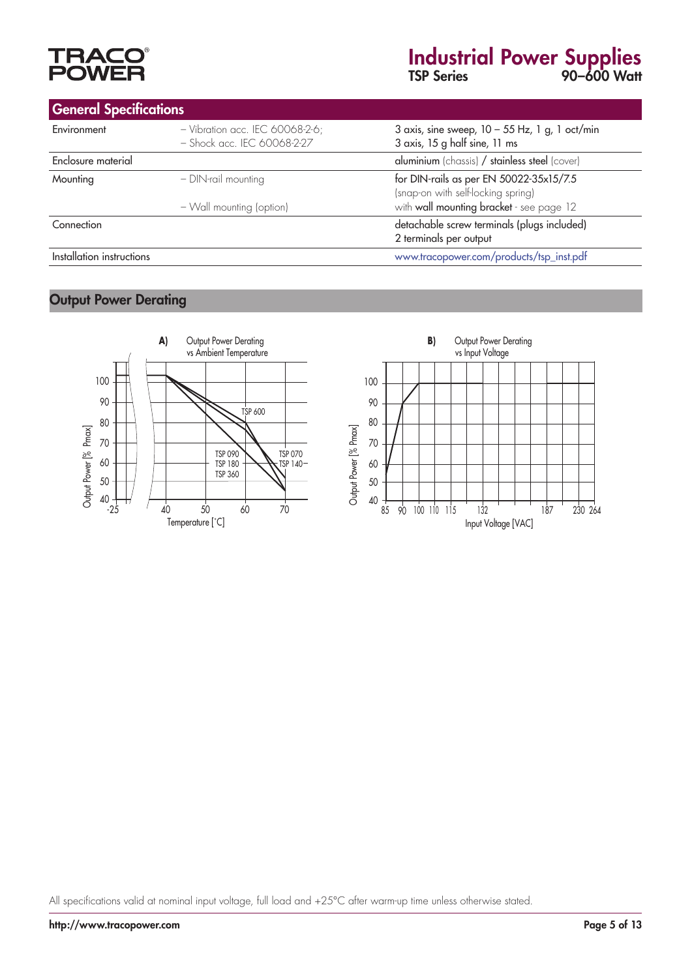# **TRAC<br>POWE**

## Industrial Power Supplies TSP Series 90–600 Watt

| <b>General Specifications</b> |                                                                  |                                                                                   |  |
|-------------------------------|------------------------------------------------------------------|-----------------------------------------------------------------------------------|--|
| Environment                   | $-$ Vibration acc. IEC 60068-2-6;<br>- Shock acc. IEC 60068-2-27 | 3 axis, sine sweep, $10 - 55$ Hz, 1 g, 1 oct/min<br>3 axis, 15 g half sine, 11 ms |  |
| Enclosure material            |                                                                  | aluminium (chassis) / stainless steel (cover)                                     |  |
| Mounting                      | - DIN-rail mounting                                              | for DIN-rails as per EN 50022-35x15/7.5<br>(snap-on with self-locking spring)     |  |
|                               | - Wall mounting (option)                                         | with wall mounting bracket - see page 12                                          |  |
| Connection                    |                                                                  | detachable screw terminals (plugs included)<br>2 terminals per output             |  |
| Installation instructions     |                                                                  | www.tracopower.com/products/tsp_inst.pdf                                          |  |

### Output Power Derating



All specifications valid at nominal input voltage, full load and +25°C after warm-up time unless otherwise stated.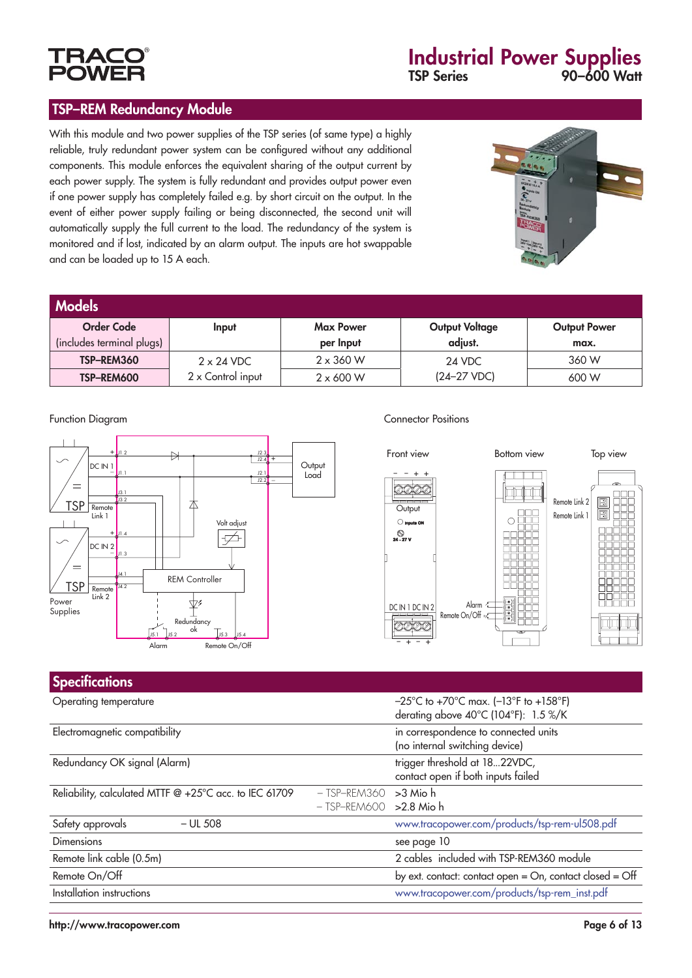

#### TSP–REM Redundancy Module

With this module and two power supplies of the TSP series (of same type) a highly reliable, truly redundant power system can be configured without any additional components. This module enforces the equivalent sharing of the output current by each power supply. The system is fully redundant and provides output power even if one power supply has completely failed e.g. by short circuit on the output. In the event of either power supply failing or being disconnected, the second unit will automatically supply the full current to the load. The redundancy of the system is monitored and if lost, indicated by an alarm output. The inputs are hot swappable and can be loaded up to 15 A each.



| <b>Models</b>             |                   |                  |                       |                     |
|---------------------------|-------------------|------------------|-----------------------|---------------------|
| <b>Order Code</b>         | Input             | <b>Max Power</b> | <b>Output Voltage</b> | <b>Output Power</b> |
| (includes terminal plugs) |                   | per Input        | adjust.               | max.                |
| TSP-REM360                | $2 \times 24$ VDC | $2 \times 360$ W | 24 VDC                | 360 W               |
| TSP-REM600                | 2 x Control input | $2 \times 600$ W | $(24-27 VDC)$         | 600 W               |



#### Function Diagram **Connector Positions**



| <b>Specifications</b>                                  |                                            |                                                                                                                          |
|--------------------------------------------------------|--------------------------------------------|--------------------------------------------------------------------------------------------------------------------------|
| Operating temperature                                  |                                            | $-25^{\circ}$ C to +70 $^{\circ}$ C max. (-13 $^{\circ}$ F to +158 $^{\circ}$ F)<br>derating above 40°C (104°F): 1.5 %/K |
| Electromagnetic compatibility                          |                                            | in correspondence to connected units<br>(no internal switching device)                                                   |
| Redundancy OK signal (Alarm)                           |                                            | trigger threshold at 1822VDC,<br>contact open if both inputs failed                                                      |
| Reliability, calculated MTTF @ +25°C acc. to IEC 61709 | - TSP-REM360<br>$-$ TSP-REM600 > 2.8 Mio h | >3 Mio h                                                                                                                 |
| Safety approvals<br>$-$ UL 508                         |                                            | www.tracopower.com/products/tsp-rem-ul508.pdf                                                                            |
| <b>Dimensions</b>                                      |                                            | see page 10                                                                                                              |
| Remote link cable (0.5m)                               |                                            | 2 cables included with TSP-REM360 module                                                                                 |
| Remote On/Off                                          |                                            | by ext. contact: contact open = On, contact closed = Off                                                                 |
| Installation instructions                              |                                            | www.tracopower.com/products/tsp-rem_inst.pdf                                                                             |
|                                                        |                                            |                                                                                                                          |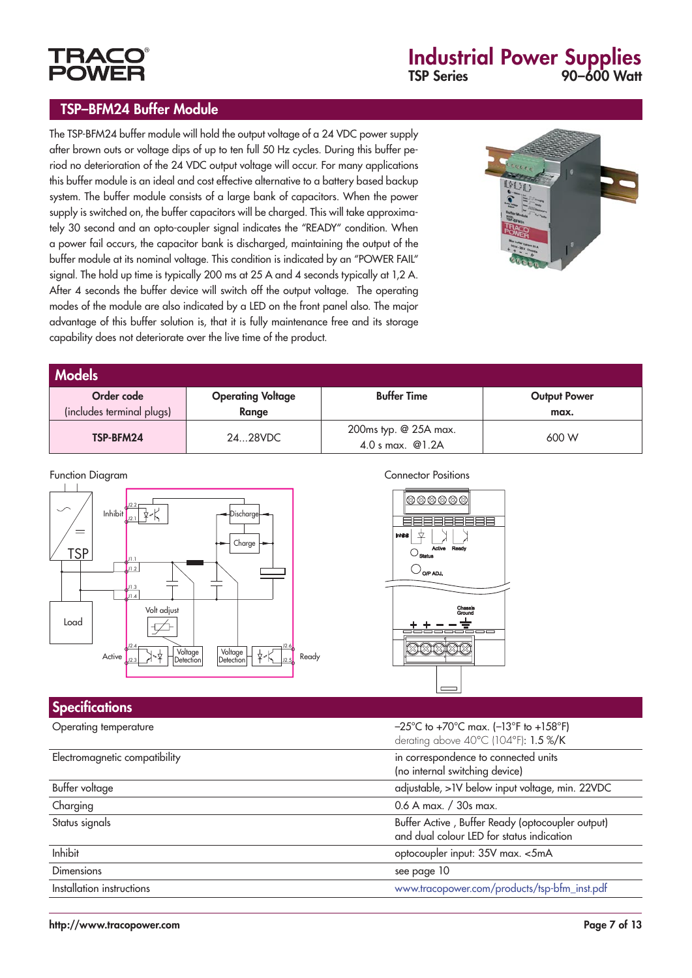# **POWF**

## Industrial Power Supplies TSP Series 90–600 Watt

#### TSP–BFM24 Buffer Module

The TSP-BFM24 buffer module will hold the output voltage of a 24 VDC power supply after brown outs or voltage dips of up to ten full 50 Hz cycles. During this buffer period no deterioration of the 24 VDC output voltage will occur. For many applications this buffer module is an ideal and cost effective alternative to a battery based backup system. The buffer module consists of a large bank of capacitors. When the power supply is switched on, the buffer capacitors will be charged. This will take approximately 30 second and an opto-coupler signal indicates the "READY" condition. When a power fail occurs, the capacitor bank is discharged, maintaining the output of the buffer module at its nominal voltage. This condition is indicated by an "POWER FAIL" signal. The hold up time is typically 200 ms at 25 A and 4 seconds typically at 1,2 A. After 4 seconds the buffer device will switch off the output voltage. The operating modes of the module are also indicated by a LED on the front panel also. The major advantage of this buffer solution is, that it is fully maintenance free and its storage capability does not deteriorate over the live time of the product.



| <b>Models</b>             |                          |                                             |                     |  |
|---------------------------|--------------------------|---------------------------------------------|---------------------|--|
| Order code                | <b>Operating Voltage</b> | <b>Buffer Time</b>                          | <b>Output Power</b> |  |
| (includes terminal plugs) | Range                    |                                             | max.                |  |
| TSP-BFM24                 | 2428VDC                  | 200ms typ. @ 25A max.<br>4.0 s max. $@1.2A$ | 600 W               |  |



| <b>PECIFICATIONS</b>          |                                                                                                                          |
|-------------------------------|--------------------------------------------------------------------------------------------------------------------------|
| Operating temperature         | $-25^{\circ}$ C to +70 $^{\circ}$ C max. (-13 $^{\circ}$ F to +158 $^{\circ}$ F)<br>derating above 40°C (104°F): 1.5 %/K |
| Electromagnetic compatibility | in correspondence to connected units<br>(no internal switching device)                                                   |
| Buffer voltage                | adjustable, > IV below input voltage, min. 22VDC                                                                         |
| Charging                      | 0.6 A max. / 30s max.                                                                                                    |
| Status signals                | Buffer Active, Buffer Ready (optocoupler output)<br>and dual colour LED for status indication                            |
| Inhibit                       | optocoupler input: 35V max. <5mA                                                                                         |
| <b>Dimensions</b>             | see page 10                                                                                                              |
| Installation instructions     | www.tracopower.com/products/tsp-bfm_inst.pdf                                                                             |
|                               |                                                                                                                          |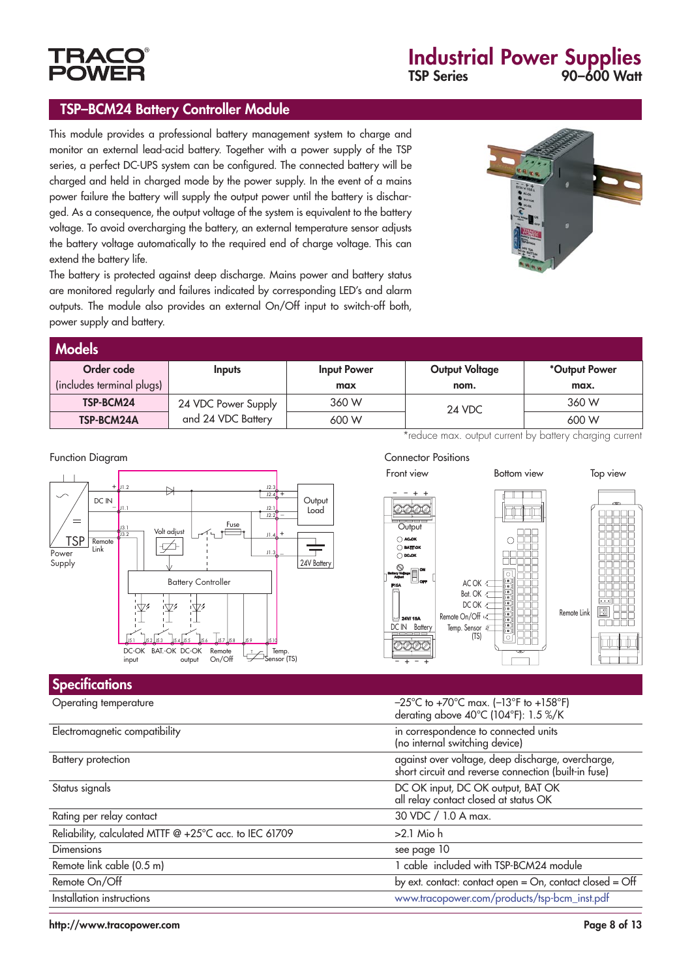

#### TSP–BCM24 Battery Controller Module

This module provides a professional battery management system to charge and monitor an external lead-acid battery. Together with a power supply of the TSP series, a perfect DC-UPS system can be configured. The connected battery will be charged and held in charged mode by the power supply. In the event of a mains power failure the battery will supply the output power until the battery is discharged. As a consequence, the output voltage of the system is equivalent to the battery voltage. To avoid overcharging the battery, an external temperature sensor adjusts the battery voltage automatically to the required end of charge voltage. This can extend the battery life.



The battery is protected against deep discharge. Mains power and battery status are monitored regularly and failures indicated by corresponding LED's and alarm outputs. The module also provides an external On/Off input to switch-off both, power supply and battery.

| <b>Models</b>             |                     |                    |                       |               |
|---------------------------|---------------------|--------------------|-----------------------|---------------|
| Order code                | <b>Inputs</b>       | <b>Input Power</b> | <b>Output Voltage</b> | *Output Power |
| (includes terminal plugs) |                     | max                | nom.                  | max.          |
| TSP-BCM24                 | 24 VDC Power Supply | 360 W              | 24 VDC                | 360 W         |
| TSP-BCM24A                | and 24 VDC Battery  | 600 W              |                       | 600 W         |

\*reduce max. output current by battery charging current

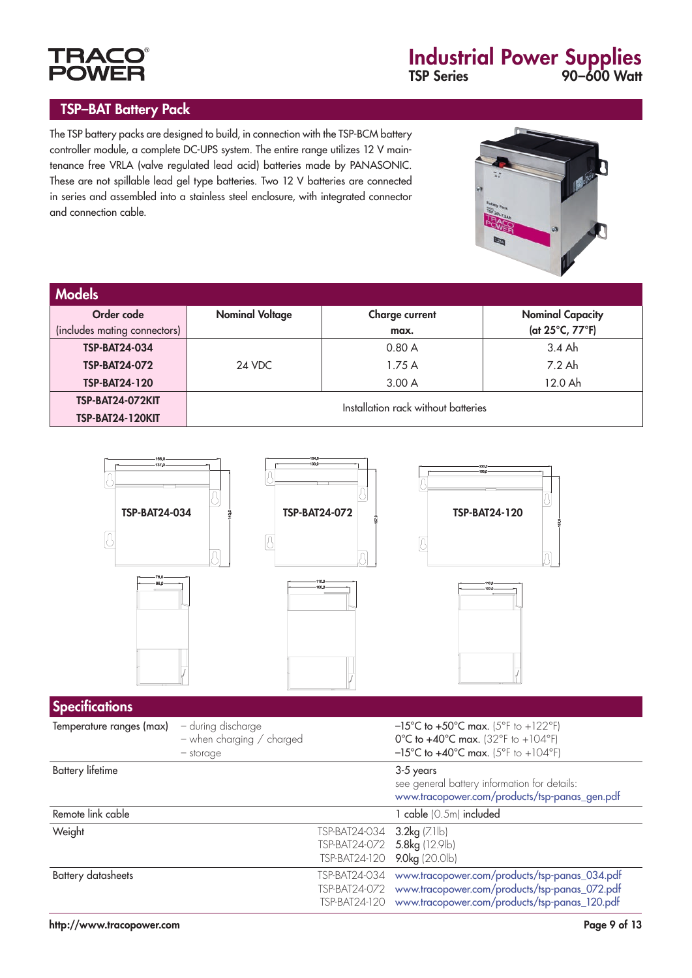### TSP–BAT Battery Pack

**TRAC POWEI** 





| <b>Models</b>                |                        |                                     |                         |
|------------------------------|------------------------|-------------------------------------|-------------------------|
| Order code                   | <b>Nominal Voltage</b> | <b>Charge current</b>               | <b>Nominal Capacity</b> |
| (includes mating connectors) |                        | max.                                | (at 25°C, 77°F)         |
| <b>TSP-BAT24-034</b>         |                        | 0.80A                               | $3.4$ Ah                |
| <b>TSP-BAT24-072</b>         | 24 VDC                 | 1.75 A                              | 7.2 Ah                  |
| <b>TSP-BAT24-120</b>         |                        | 3.00A                               | 12.0 Ah                 |
| <b>TSP-BAT24-072KIT</b>      |                        | Installation rack without batteries |                         |
| <b>TSP-BAT24-120KIT</b>      |                        |                                     |                         |

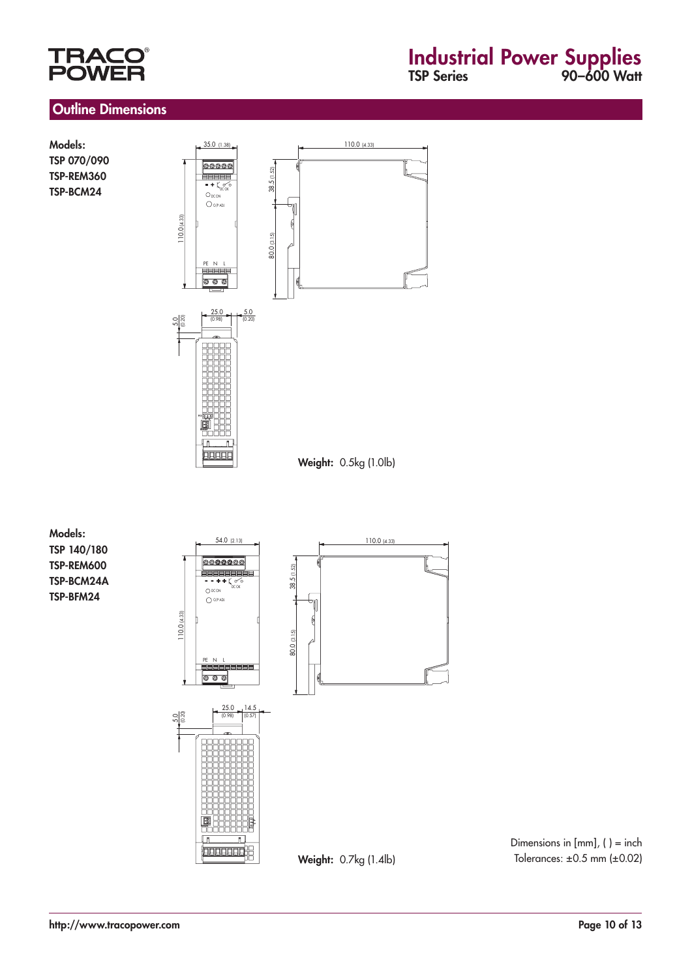## **TRA POW**

## Industrial Power Supplies TSP Series 90–600 Watt

#### Outline Dimensions

Models: TSP 070/090 TSP-REM360 TSP-BCM24



Models: TSP 140/180 TSP-REM600 TSP-BCM24A TSP-BFM24



Dimensions in  $[mm]$ ,  $( ) =$  inch Tolerances:  $\pm 0.5$  mm ( $\pm 0.02$ )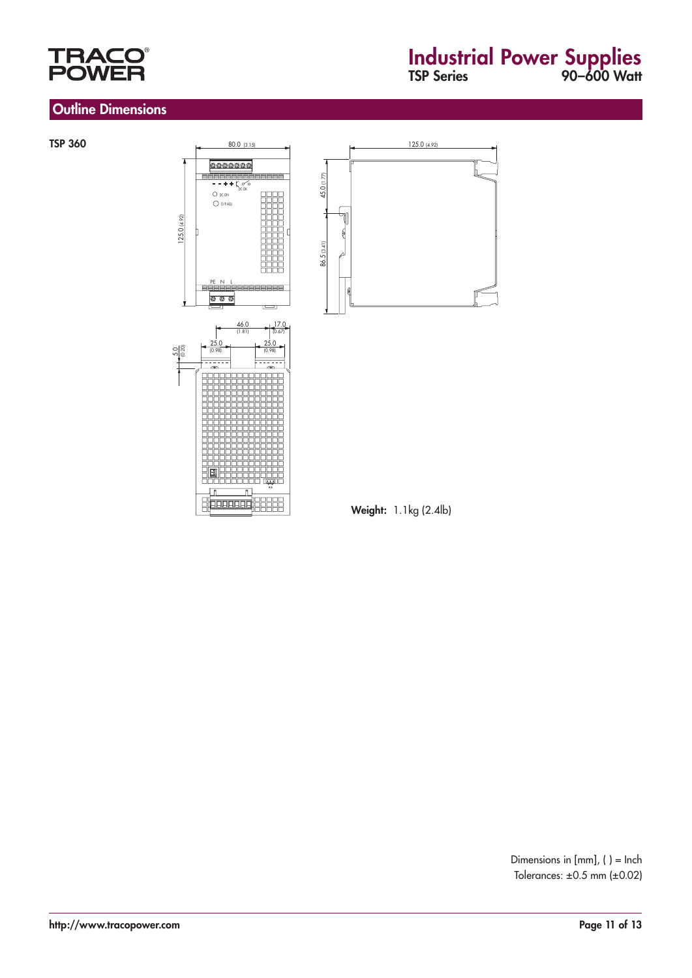

### Outline Dimensions

## Industrial Power Supplies TSP Series 90–600 Watt

#### TSP 360



Ì

<u>e Carlo de Cape</u>



Weight: 1.1kg (2.4lb)

Dimensions in [mm], ( ) = Inch Tolerances: ±0.5 mm (±0.02)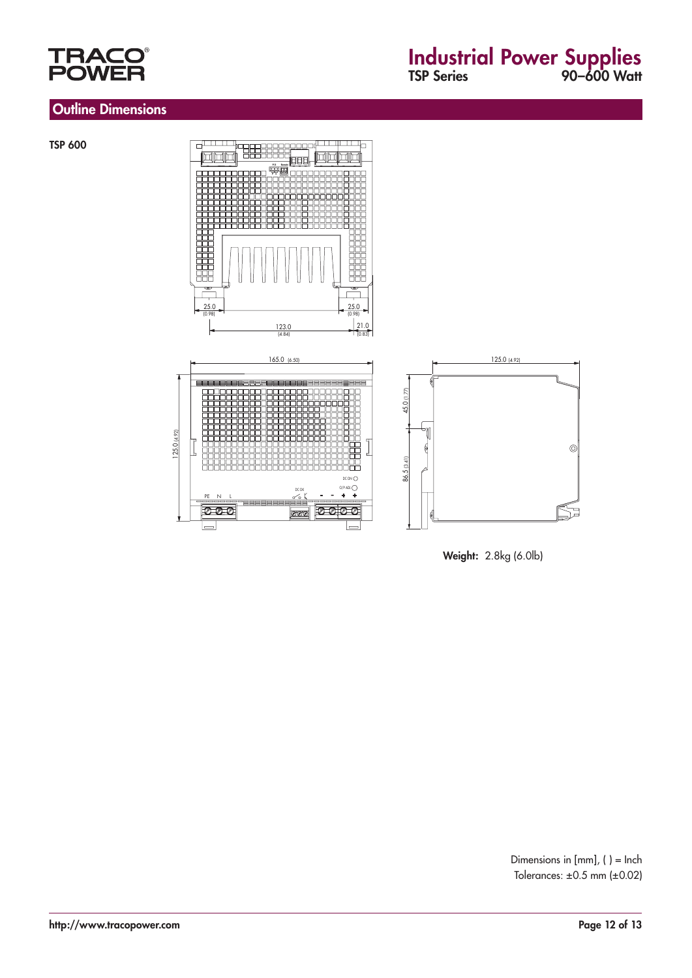

### Outline Dimensions

TSP 600



Weight: 2.8kg (6.0lb)

Dimensions in [mm], ( ) = Inch Tolerances: ±0.5 mm (±0.02)